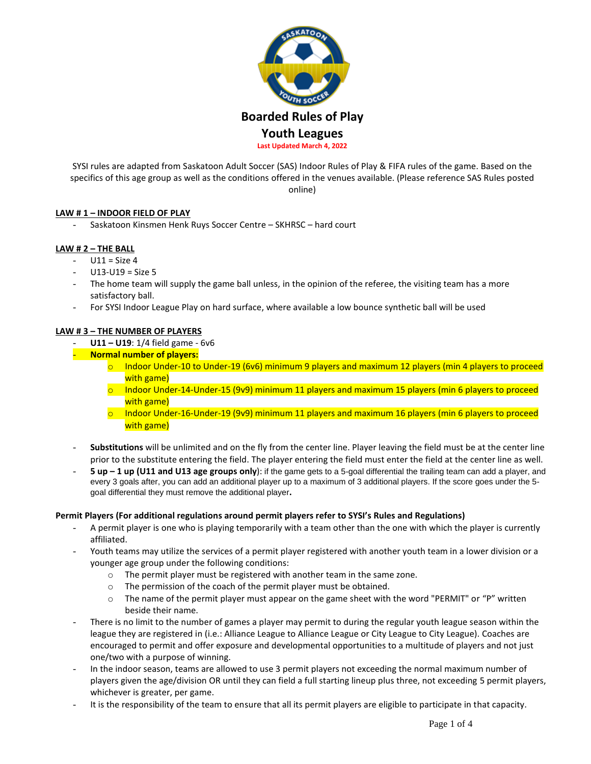

SYSI rules are adapted from Saskatoon Adult Soccer (SAS) Indoor Rules of Play & FIFA rules of the game. Based on the specifics of this age group as well as the conditions offered in the venues available. (Please reference SAS Rules posted online)

### **LAW # 1 – INDOOR FIELD OF PLAY**

- Saskatoon Kinsmen Henk Ruys Soccer Centre – SKHRSC – hard court

### **LAW # 2 – THE BALL**

- $U11 = Size 4$
- $U13-U19 = Size 5$
- The home team will supply the game ball unless, in the opinion of the referee, the visiting team has a more satisfactory ball.
- For SYSI Indoor League Play on hard surface, where available a low bounce synthetic ball will be used

### **LAW # 3 – THE NUMBER OF PLAYERS**

- **U11 – U19**: 1/4 field game 6v6
- **Normal number of players:**
	- o Indoor Under-10 to Under-19 (6v6) minimum 9 players and maximum 12 players (min 4 players to proceed with game)
	- $\circ$  Indoor Under-14-Under-15 (9v9) minimum 11 players and maximum 15 players (min 6 players to proceed with game)
	- o Indoor Under-16-Under-19 (9v9) minimum 11 players and maximum 16 players (min 6 players to proceed with game)
- Substitutions will be unlimited and on the fly from the center line. Player leaving the field must be at the center line prior to the substitute entering the field. The player entering the field must enter the field at the center line as well.
- **5 up – 1 up (U11 and U13 age groups only**): if the game gets to a 5-goal differential the trailing team can add a player, and every 3 goals after, you can add an additional player up to a maximum of 3 additional players. If the score goes under the 5 goal differential they must remove the additional player**.**

#### **Permit Players (For additional regulations around permit players refer to SYSI's Rules and Regulations)**

- A permit player is one who is playing temporarily with a team other than the one with which the player is currently affiliated.
- Youth teams may utilize the services of a permit player registered with another youth team in a lower division or a younger age group under the following conditions:
	- o The permit player must be registered with another team in the same zone.
	- o The permission of the coach of the permit player must be obtained.
	- $\circ$  The name of the permit player must appear on the game sheet with the word "PERMIT" or "P" written beside their name.
- There is no limit to the number of games a player may permit to during the regular youth league season within the league they are registered in (i.e.: Alliance League to Alliance League or City League to City League). Coaches are encouraged to permit and offer exposure and developmental opportunities to a multitude of players and not just one/two with a purpose of winning.
- In the indoor season, teams are allowed to use 3 permit players not exceeding the normal maximum number of players given the age/division OR until they can field a full starting lineup plus three, not exceeding 5 permit players, whichever is greater, per game.
- It is the responsibility of the team to ensure that all its permit players are eligible to participate in that capacity.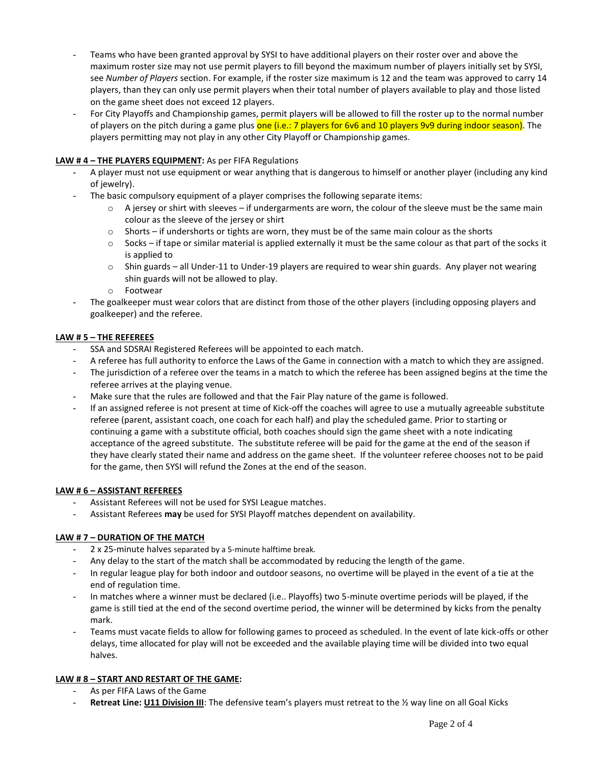- Teams who have been granted approval by SYSI to have additional players on their roster over and above the maximum roster size may not use permit players to fill beyond the maximum number of players initially set by SYSI, see *Number of Players* section. For example, if the roster size maximum is 12 and the team was approved to carry 14 players, than they can only use permit players when their total number of players available to play and those listed on the game sheet does not exceed 12 players.
- For City Playoffs and Championship games, permit players will be allowed to fill the roster up to the normal number of players on the pitch during a game plus one (i.e.: 7 players for 6v6 and 10 players 9v9 during indoor season). The players permitting may not play in any other City Playoff or Championship games.

# **LAW # 4 – THE PLAYERS EQUIPMENT:** As per FIFA Regulations

- A player must not use equipment or wear anything that is dangerous to himself or another player (including any kind of jewelry).
- The basic compulsory equipment of a player comprises the following separate items:
	- $\circ$  A jersey or shirt with sleeves if undergarments are worn, the colour of the sleeve must be the same main colour as the sleeve of the jersey or shirt
	- $\circ$  Shorts if undershorts or tights are worn, they must be of the same main colour as the shorts
	- $\circ$  Socks if tape or similar material is applied externally it must be the same colour as that part of the socks it is applied to
	- $\circ$  Shin guards all Under-11 to Under-19 players are required to wear shin guards. Any player not wearing shin guards will not be allowed to play.
	- o Footwear
- The goalkeeper must wear colors that are distinct from those of the other players (including opposing players and goalkeeper) and the referee.

### **LAW # 5 – THE REFEREES**

- SSA and SDSRAI Registered Referees will be appointed to each match.
- A referee has full authority to enforce the Laws of the Game in connection with a match to which they are assigned.
- The jurisdiction of a referee over the teams in a match to which the referee has been assigned begins at the time the referee arrives at the playing venue.
- Make sure that the rules are followed and that the Fair Play nature of the game is followed.
- If an assigned referee is not present at time of Kick-off the coaches will agree to use a mutually agreeable substitute referee (parent, assistant coach, one coach for each half) and play the scheduled game. Prior to starting or continuing a game with a substitute official, both coaches should sign the game sheet with a note indicating acceptance of the agreed substitute. The substitute referee will be paid for the game at the end of the season if they have clearly stated their name and address on the game sheet. If the volunteer referee chooses not to be paid for the game, then SYSI will refund the Zones at the end of the season.

### **LAW # 6 – ASSISTANT REFEREES**

- Assistant Referees will not be used for SYSI League matches.
- Assistant Referees **may** be used for SYSI Playoff matches dependent on availability.

### **LAW # 7 – DURATION OF THE MATCH**

- 2 x 25-minute halves separated by a 5-minute halftime break.
- Any delay to the start of the match shall be accommodated by reducing the length of the game.
- In regular league play for both indoor and outdoor seasons, no overtime will be played in the event of a tie at the end of regulation time.
- In matches where a winner must be declared (i.e.. Playoffs) two 5-minute overtime periods will be played, if the game is still tied at the end of the second overtime period, the winner will be determined by kicks from the penalty mark.
- Teams must vacate fields to allow for following games to proceed as scheduled. In the event of late kick-offs or other delays, time allocated for play will not be exceeded and the available playing time will be divided into two equal halves.

## **LAW # 8 – START AND RESTART OF THE GAME:**

- As per FIFA Laws of the Game
- **Retreat Line: U11 Division III**: The defensive team's players must retreat to the ½ way line on all Goal Kicks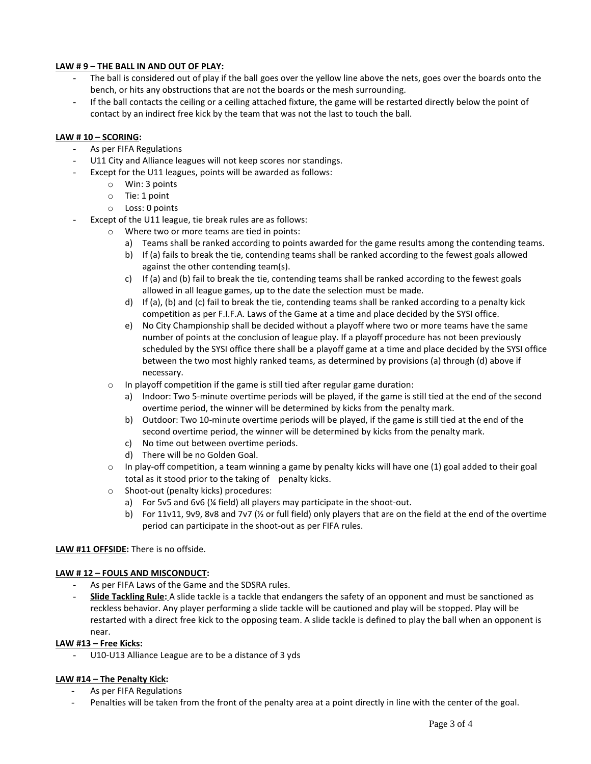# **LAW # 9 – THE BALL IN AND OUT OF PLAY:**

- The ball is considered out of play if the ball goes over the yellow line above the nets, goes over the boards onto the bench, or hits any obstructions that are not the boards or the mesh surrounding.
- If the ball contacts the ceiling or a ceiling attached fixture, the game will be restarted directly below the point of contact by an indirect free kick by the team that was not the last to touch the ball.

### **LAW # 10 – SCORING:**

- As per FIFA Regulations
- U11 City and Alliance leagues will not keep scores nor standings.
- Except for the U11 leagues, points will be awarded as follows:
	- o Win: 3 points
	- o Tie: 1 point
	- o Loss: 0 points
- Except of the U11 league, tie break rules are as follows:
	- o Where two or more teams are tied in points:
		- a) Teams shall be ranked according to points awarded for the game results among the contending teams.
		- b) If (a) fails to break the tie, contending teams shall be ranked according to the fewest goals allowed against the other contending team(s).
		- c) If (a) and (b) fail to break the tie, contending teams shall be ranked according to the fewest goals allowed in all league games, up to the date the selection must be made.
		- d) If (a), (b) and (c) fail to break the tie, contending teams shall be ranked according to a penalty kick competition as per F.I.F.A. Laws of the Game at a time and place decided by the SYSI office.
		- e) No City Championship shall be decided without a playoff where two or more teams have the same number of points at the conclusion of league play. If a playoff procedure has not been previously scheduled by the SYSI office there shall be a playoff game at a time and place decided by the SYSI office between the two most highly ranked teams, as determined by provisions (a) through (d) above if necessary.
	- o In playoff competition if the game is still tied after regular game duration:
		- a) Indoor: Two 5-minute overtime periods will be played, if the game is still tied at the end of the second overtime period, the winner will be determined by kicks from the penalty mark.
		- b) Outdoor: Two 10-minute overtime periods will be played, if the game is still tied at the end of the second overtime period, the winner will be determined by kicks from the penalty mark.
		- c) No time out between overtime periods.
		- d) There will be no Golden Goal.
	- $\circ$  In play-off competition, a team winning a game by penalty kicks will have one (1) goal added to their goal total as it stood prior to the taking of penalty kicks.
	- o Shoot-out (penalty kicks) procedures:
		- a) For 5v5 and 6v6 (¼ field) all players may participate in the shoot-out.
		- b) For 11v11, 9v9, 8v8 and 7v7 (½ or full field) only players that are on the field at the end of the overtime period can participate in the shoot-out as per FIFA rules.

### **LAW #11 OFFSIDE:** There is no offside.

### **LAW # 12 – FOULS AND MISCONDUCT:**

- As per FIFA Laws of the Game and the SDSRA rules.
- **Slide Tackling Rule:** A slide tackle is a tackle that endangers the safety of an opponent and must be sanctioned as reckless behavior. Any player performing a slide tackle will be cautioned and play will be stopped. Play will be restarted with a direct free kick to the opposing team. A slide tackle is defined to play the ball when an opponent is near.

### **LAW #13 – Free Kicks:**

U10-U13 Alliance League are to be a distance of 3 yds

### **LAW #14 – The Penalty Kick:**

- As per FIFA Regulations
- Penalties will be taken from the front of the penalty area at a point directly in line with the center of the goal.